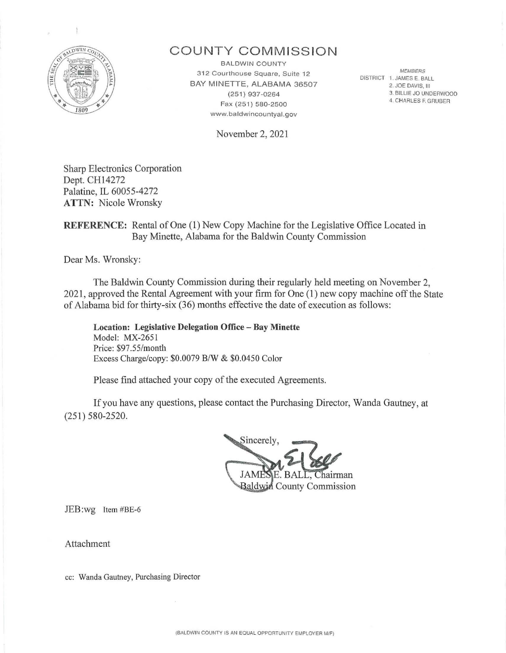

## **COUNTY COMMISSION**

**BALDWIN COUNTY** 3 12 Courthouse Square, Suite 12 BAY MINETTE, ALABAMA 36507 (251) 937-0264 Fax (251) 580-2500 www.baldwincountyal.gov

November 2, 2021

**MEMBERS** DISTRICT 1. JAMES E. BALL 2. JOE DAVIS. Ill 3. BILLIE JO UNDERWOOD 4. CHARLES F. GRUBER

Sharp Electronics Corporation Dept. CH14272 Palatine, IL 60055-4272 **ATTN:** Nicole Wronsky

### **REFERENCE:** Rental of One (1) New Copy Machine for the Legislative Office Located in Bay Minette, Alabama for the Baldwin County Commission

Dear Ms. Wronsky:

The Baldwin County Commission during their regularly held meeting on November 2, 2021, approved the Rental Agreement with your firm for One (1) new copy machine off the State of Alabama bid for thirty-six  $(36)$  months effective the date of execution as follows:

**Location: Legislative Delegation Office - Bay Minette**  Model: MX-2651 Price: \$97.55/month Excess Charge/copy: \$0.0079 B/W & \$0.0450 Color

Please find attached your copy of the executed Agreements.

If you have any questions, please contact the Purchasing Director, Wanda Gautney, at (251) 580-2520.

Sincerely. JAME Chairman **Baldwin** County Commission

JEB:wg Item #BE-6

Attachment

cc: Wanda Gautney, Purchasing Director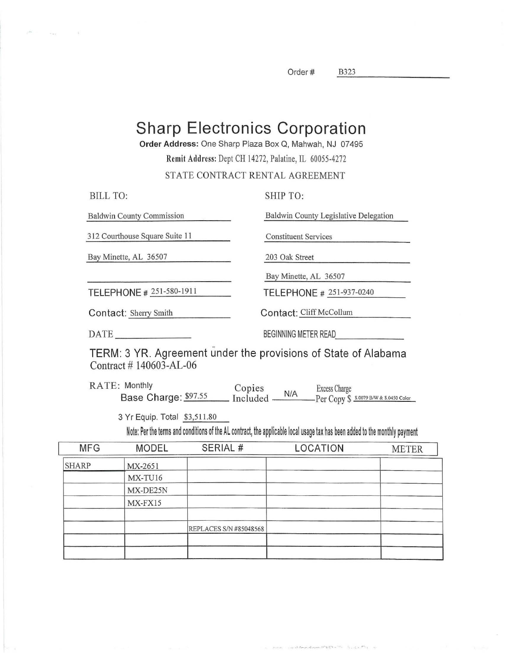Order# B323

B323

# **Sharp Electronics Corporation**

Order Address: One Sharp Plaza Box Q, Mahwah, NJ 07495

Remit Address: Dept CH 14272, Palatine, IL 60055-4272

STATE CONTRACT RENTAL AGREEMENT

| BILL TO:                                                       | SHIP TO:                              |
|----------------------------------------------------------------|---------------------------------------|
| <b>Baldwin County Commission</b>                               | Baldwin County Legislative Delegation |
| 312 Courthouse Square Suite 11                                 | <b>Constituent Services</b>           |
| Bay Minette, AL 36507                                          | 203 Oak Street                        |
|                                                                | Bay Minette, AL 36507                 |
| TELEPHONE # 251-580-1911                                       | TELEPHONE # 251-937-0240              |
| Contact: Sherry Smith                                          | Contact: Cliff McCollum               |
| $\overline{\text{DATE}}$                                       | BEGINNING METER READ                  |
| TERM: 3 YR, Agreement under the provisions of State of Alabama |                                       |

 $T$ ur: 3  $r$ R. Agreement under the provisions of State of Alabama Contract # 140603-AL-06

RATE: Monthly<br>Base Charge: \$97.55 Base Charge: \$97.55 Copies N/A Excess Charge Included - - - -Per Copy\$ s.0019srw&s.04soco1or

3 Yr Equip. Total \$3,511.80

Note: Per the terms and conditions of the AL contract, the applicable local usage tax has been added to the monthly payment

 $1.7.7$ 

on DESIGN LITE

| <b>MFG</b>   | <b>MODEL</b> | SERIAL #               | LOCATION | <b>METER</b> |
|--------------|--------------|------------------------|----------|--------------|
| <b>SHARP</b> | MX-2651      |                        |          |              |
|              | MX-TU16      |                        |          |              |
|              | MX-DE25N     |                        |          |              |
|              | MX-FX15      |                        |          |              |
|              |              | REPLACES S/N #85048568 |          |              |
|              |              |                        |          |              |
|              |              |                        |          |              |